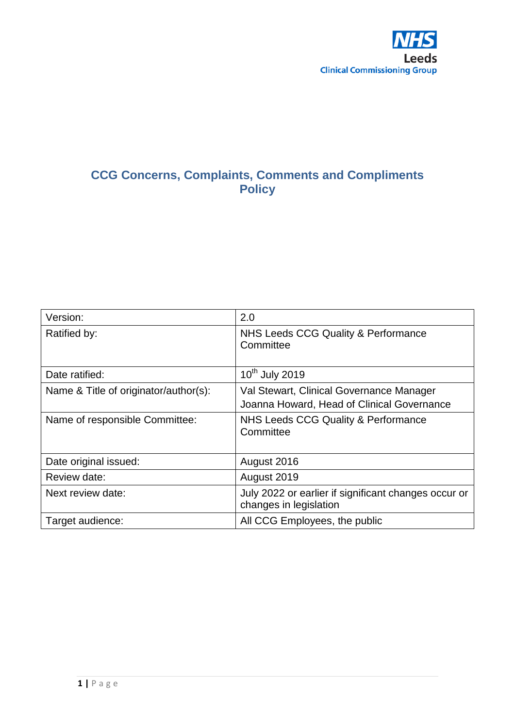

# **CCG Concerns, Complaints, Comments and Compliments Policy**

| Version:                              | 2.0                                                                                    |
|---------------------------------------|----------------------------------------------------------------------------------------|
| Ratified by:                          | NHS Leeds CCG Quality & Performance<br>Committee                                       |
| Date ratified:                        | 10 <sup>th</sup> July 2019                                                             |
| Name & Title of originator/author(s): | Val Stewart, Clinical Governance Manager<br>Joanna Howard, Head of Clinical Governance |
| Name of responsible Committee:        | NHS Leeds CCG Quality & Performance<br>Committee                                       |
| Date original issued:                 | August 2016                                                                            |
| Review date:                          | August 2019                                                                            |
| Next review date:                     | July 2022 or earlier if significant changes occur or<br>changes in legislation         |
| Target audience:                      | All CCG Employees, the public                                                          |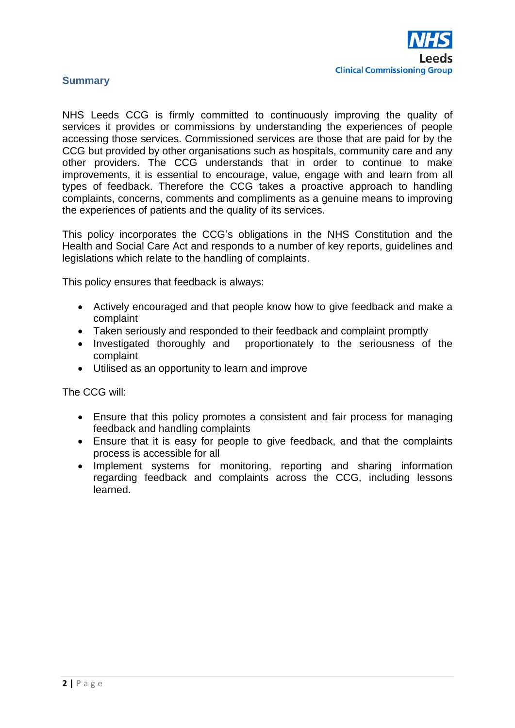

#### **Summary**

NHS Leeds CCG is firmly committed to continuously improving the quality of services it provides or commissions by understanding the experiences of people accessing those services. Commissioned services are those that are paid for by the CCG but provided by other organisations such as hospitals, community care and any other providers. The CCG understands that in order to continue to make improvements, it is essential to encourage, value, engage with and learn from all types of feedback. Therefore the CCG takes a proactive approach to handling complaints, concerns, comments and compliments as a genuine means to improving the experiences of patients and the quality of its services.

This policy incorporates the CCG's obligations in the NHS Constitution and the Health and Social Care Act and responds to a number of key reports, guidelines and legislations which relate to the handling of complaints.

This policy ensures that feedback is always:

- Actively encouraged and that people know how to give feedback and make a complaint
- Taken seriously and responded to their feedback and complaint promptly
- Investigated thoroughly and proportionately to the seriousness of the complaint
- Utilised as an opportunity to learn and improve

The CCG will:

- Ensure that this policy promotes a consistent and fair process for managing feedback and handling complaints
- Ensure that it is easy for people to give feedback, and that the complaints process is accessible for all
- Implement systems for monitoring, reporting and sharing information regarding feedback and complaints across the CCG, including lessons learned.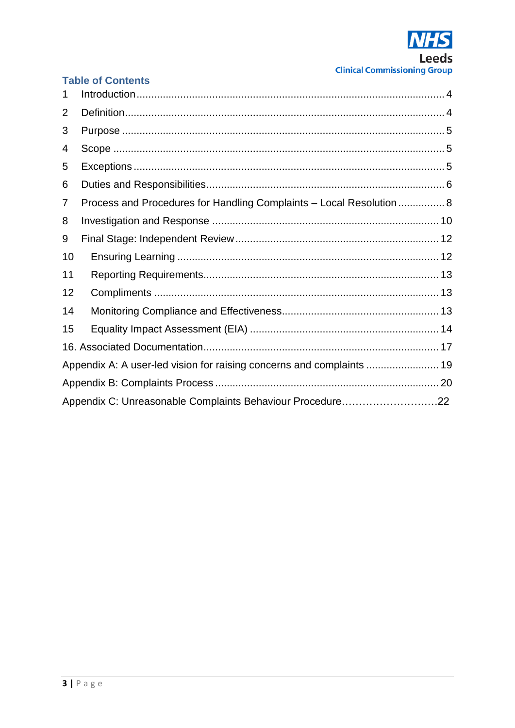

## **Table of Contents**

| 1  |                                                                       |  |
|----|-----------------------------------------------------------------------|--|
| 2  |                                                                       |  |
| 3  |                                                                       |  |
| 4  |                                                                       |  |
| 5  |                                                                       |  |
| 6  |                                                                       |  |
| 7  | Process and Procedures for Handling Complaints - Local Resolution  8  |  |
| 8  |                                                                       |  |
| 9  |                                                                       |  |
| 10 |                                                                       |  |
| 11 |                                                                       |  |
| 12 |                                                                       |  |
| 14 |                                                                       |  |
| 15 |                                                                       |  |
|    |                                                                       |  |
|    | Appendix A: A user-led vision for raising concerns and complaints  19 |  |
|    |                                                                       |  |
|    | Appendix C: Unreasonable Complaints Behaviour Procedure22             |  |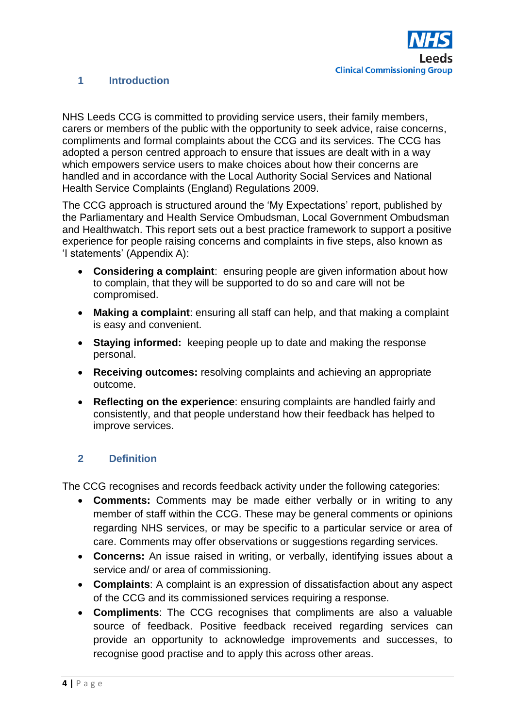#### <span id="page-3-0"></span>**1 Introduction**

NHS Leeds CCG is committed to providing service users, their family members, carers or members of the public with the opportunity to seek advice, raise concerns, compliments and formal complaints about the CCG and its services. The CCG has adopted a person centred approach to ensure that issues are dealt with in a way which empowers service users to make choices about how their concerns are handled and in accordance with the Local Authority Social Services and National Health Service Complaints (England) Regulations 2009.

The CCG approach is structured around the 'My Expectations' report, published by the Parliamentary and Health Service Ombudsman, Local Government Ombudsman and Healthwatch. This report sets out a best practice framework to support a positive experience for people raising concerns and complaints in five steps, also known as 'I statements' (Appendix A):

- **Considering a complaint**: ensuring people are given information about how to complain, that they will be supported to do so and care will not be compromised.
- **Making a complaint**: ensuring all staff can help, and that making a complaint is easy and convenient.
- **Staying informed:** keeping people up to date and making the response personal.
- **Receiving outcomes:** resolving complaints and achieving an appropriate outcome.
- **Reflecting on the experience**: ensuring complaints are handled fairly and consistently, and that people understand how their feedback has helped to improve services.

# <span id="page-3-1"></span>**2 Definition**

The CCG recognises and records feedback activity under the following categories:

- **Comments:** Comments may be made either verbally or in writing to any member of staff within the CCG. These may be general comments or opinions regarding NHS services, or may be specific to a particular service or area of care. Comments may offer observations or suggestions regarding services.
- **Concerns:** An issue raised in writing, or verbally, identifying issues about a service and/ or area of commissioning.
- **Complaints**: A complaint is an expression of dissatisfaction about any aspect of the CCG and its commissioned services requiring a response.
- **Compliments**: The CCG recognises that compliments are also a valuable source of feedback. Positive feedback received regarding services can provide an opportunity to acknowledge improvements and successes, to recognise good practise and to apply this across other areas.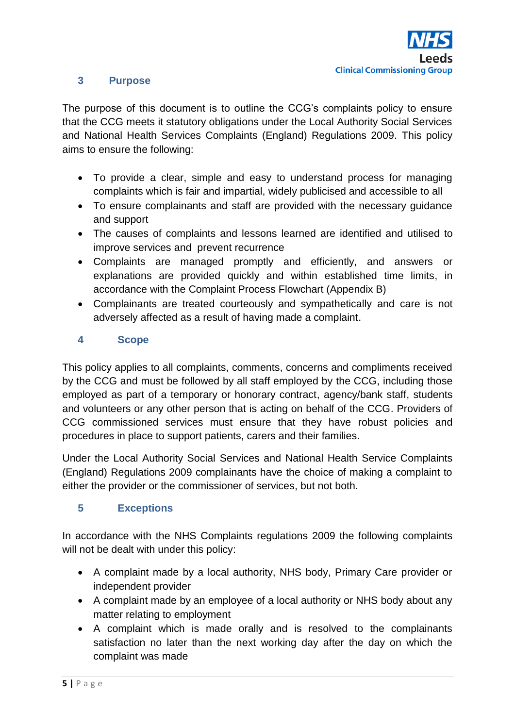# <span id="page-4-0"></span>**3 Purpose**

The purpose of this document is to outline the CCG's complaints policy to ensure that the CCG meets it statutory obligations under the Local Authority Social Services and National Health Services Complaints (England) Regulations 2009. This policy aims to ensure the following:

- To provide a clear, simple and easy to understand process for managing complaints which is fair and impartial, widely publicised and accessible to all
- To ensure complainants and staff are provided with the necessary guidance and support
- The causes of complaints and lessons learned are identified and utilised to improve services and prevent recurrence
- Complaints are managed promptly and efficiently, and answers or explanations are provided quickly and within established time limits, in accordance with the Complaint Process Flowchart (Appendix B)
- Complainants are treated courteously and sympathetically and care is not adversely affected as a result of having made a complaint.

# <span id="page-4-1"></span>**4 Scope**

This policy applies to all complaints, comments, concerns and compliments received by the CCG and must be followed by all staff employed by the CCG, including those employed as part of a temporary or honorary contract, agency/bank staff, students and volunteers or any other person that is acting on behalf of the CCG. Providers of CCG commissioned services must ensure that they have robust policies and procedures in place to support patients, carers and their families.

Under the Local Authority Social Services and National Health Service Complaints (England) Regulations 2009 complainants have the choice of making a complaint to either the provider or the commissioner of services, but not both.

# <span id="page-4-2"></span>**5 Exceptions**

In accordance with the NHS Complaints regulations 2009 the following complaints will not be dealt with under this policy:

- A complaint made by a local authority, NHS body, Primary Care provider or independent provider
- A complaint made by an employee of a local authority or NHS body about any matter relating to employment
- A complaint which is made orally and is resolved to the complainants satisfaction no later than the next working day after the day on which the complaint was made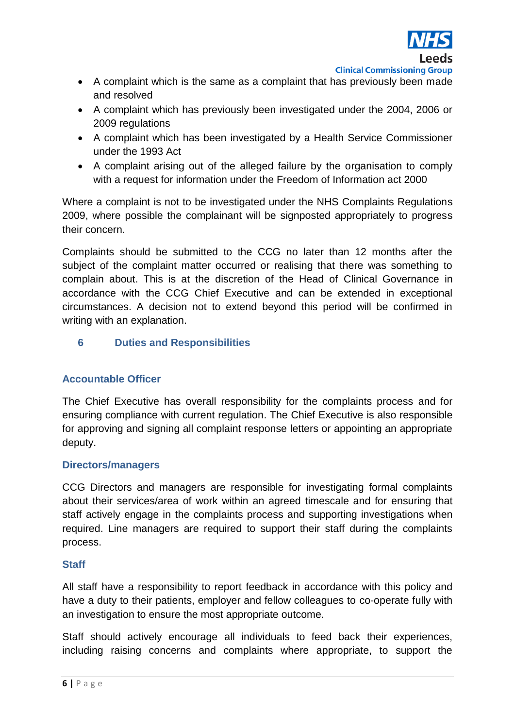

**Clinical Commissioning Group** 

- A complaint which is the same as a complaint that has previously been made and resolved
- A complaint which has previously been investigated under the 2004, 2006 or 2009 regulations
- A complaint which has been investigated by a Health Service Commissioner under the 1993 Act
- A complaint arising out of the alleged failure by the organisation to comply with a request for information under the Freedom of Information act 2000

Where a complaint is not to be investigated under the NHS Complaints Regulations 2009, where possible the complainant will be signposted appropriately to progress their concern.

Complaints should be submitted to the CCG no later than 12 months after the subject of the complaint matter occurred or realising that there was something to complain about. This is at the discretion of the Head of Clinical Governance in accordance with the CCG Chief Executive and can be extended in exceptional circumstances. A decision not to extend beyond this period will be confirmed in writing with an explanation.

<span id="page-5-0"></span>**6 Duties and Responsibilities**

## **Accountable Officer**

The Chief Executive has overall responsibility for the complaints process and for ensuring compliance with current regulation. The Chief Executive is also responsible for approving and signing all complaint response letters or appointing an appropriate deputy.

#### **Directors/managers**

CCG Directors and managers are responsible for investigating formal complaints about their services/area of work within an agreed timescale and for ensuring that staff actively engage in the complaints process and supporting investigations when required. Line managers are required to support their staff during the complaints process.

#### **Staff**

All staff have a responsibility to report feedback in accordance with this policy and have a duty to their patients, employer and fellow colleagues to co-operate fully with an investigation to ensure the most appropriate outcome.

Staff should actively encourage all individuals to feed back their experiences, including raising concerns and complaints where appropriate, to support the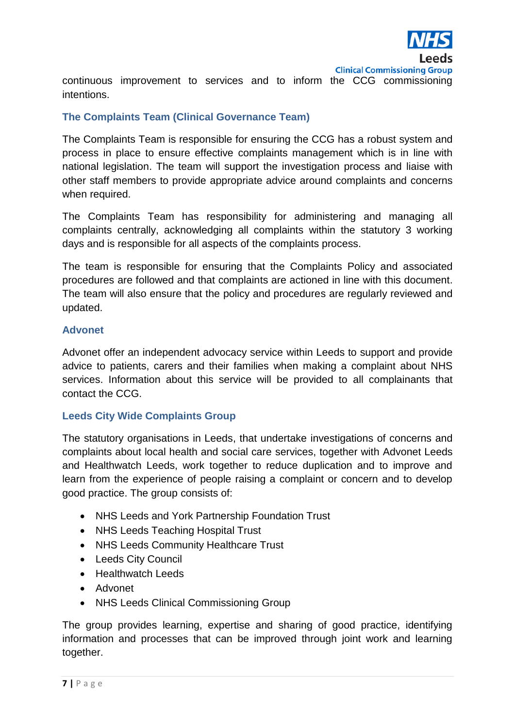

continuous improvement to services and to inform the CCG commissioning intentions.

### **The Complaints Team (Clinical Governance Team)**

The Complaints Team is responsible for ensuring the CCG has a robust system and process in place to ensure effective complaints management which is in line with national legislation. The team will support the investigation process and liaise with other staff members to provide appropriate advice around complaints and concerns when required.

The Complaints Team has responsibility for administering and managing all complaints centrally, acknowledging all complaints within the statutory 3 working days and is responsible for all aspects of the complaints process.

The team is responsible for ensuring that the Complaints Policy and associated procedures are followed and that complaints are actioned in line with this document. The team will also ensure that the policy and procedures are regularly reviewed and updated.

#### **Advonet**

Advonet offer an independent advocacy service within Leeds to support and provide advice to patients, carers and their families when making a complaint about NHS services. Information about this service will be provided to all complainants that contact the CCG.

## **Leeds City Wide Complaints Group**

The statutory organisations in Leeds, that undertake investigations of concerns and complaints about local health and social care services, together with Advonet Leeds and Healthwatch Leeds, work together to reduce duplication and to improve and learn from the experience of people raising a complaint or concern and to develop good practice. The group consists of:

- NHS Leeds and York Partnership Foundation Trust
- NHS Leeds Teaching Hospital Trust
- NHS Leeds Community Healthcare Trust
- Leeds City Council
- Healthwatch Leeds
- Advonet
- NHS Leeds Clinical Commissioning Group

The group provides learning, expertise and sharing of good practice, identifying information and processes that can be improved through joint work and learning together.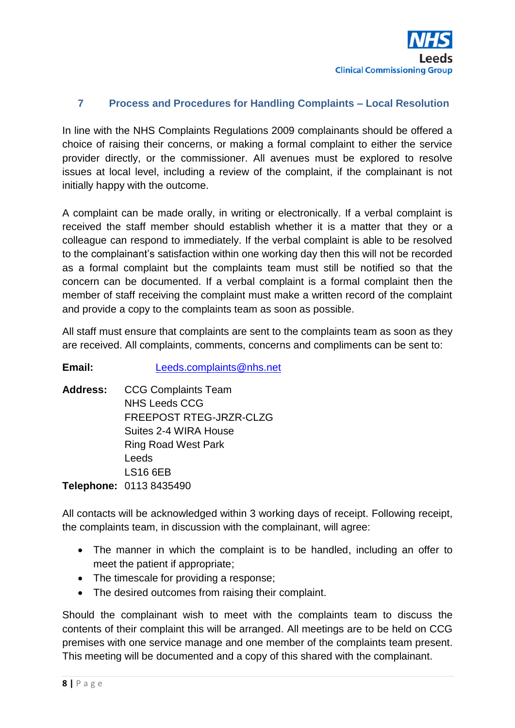### <span id="page-7-0"></span>**7 Process and Procedures for Handling Complaints – Local Resolution**

In line with the NHS Complaints Regulations 2009 complainants should be offered a choice of raising their concerns, or making a formal complaint to either the service provider directly, or the commissioner. All avenues must be explored to resolve issues at local level, including a review of the complaint, if the complainant is not initially happy with the outcome.

A complaint can be made orally, in writing or electronically. If a verbal complaint is received the staff member should establish whether it is a matter that they or a colleague can respond to immediately. If the verbal complaint is able to be resolved to the complainant's satisfaction within one working day then this will not be recorded as a formal complaint but the complaints team must still be notified so that the concern can be documented. If a verbal complaint is a formal complaint then the member of staff receiving the complaint must make a written record of the complaint and provide a copy to the complaints team as soon as possible.

All staff must ensure that complaints are sent to the complaints team as soon as they are received. All complaints, comments, concerns and compliments can be sent to:

# **Email:** [Leeds.complaints@nhs.net](mailto:Leeds.complaints@nhs.net) **Address:** CCG Complaints Team NHS Leeds CCG FREEPOST RTEG-JRZR-CLZG Suites 2-4 WIRA House Ring Road West Park Leeds LS16 6EB **Telephone:** 0113 8435490

All contacts will be acknowledged within 3 working days of receipt. Following receipt, the complaints team, in discussion with the complainant, will agree:

- The manner in which the complaint is to be handled, including an offer to meet the patient if appropriate;
- The timescale for providing a response;
- The desired outcomes from raising their complaint.

Should the complainant wish to meet with the complaints team to discuss the contents of their complaint this will be arranged. All meetings are to be held on CCG premises with one service manage and one member of the complaints team present. This meeting will be documented and a copy of this shared with the complainant.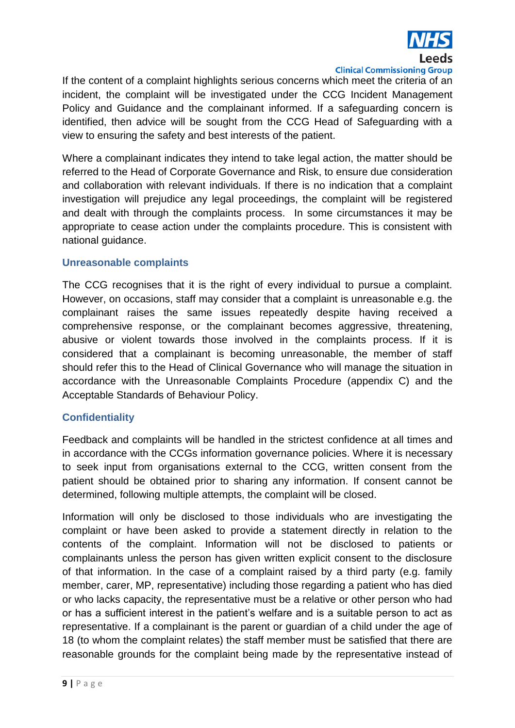

#### **Clinical Commissioning Group**

If the content of a complaint highlights serious concerns which meet the criteria of an incident, the complaint will be investigated under the CCG Incident Management Policy and Guidance and the complainant informed. If a safeguarding concern is identified, then advice will be sought from the CCG Head of Safeguarding with a view to ensuring the safety and best interests of the patient.

Where a complainant indicates they intend to take legal action, the matter should be referred to the Head of Corporate Governance and Risk, to ensure due consideration and collaboration with relevant individuals. If there is no indication that a complaint investigation will prejudice any legal proceedings, the complaint will be registered and dealt with through the complaints process. In some circumstances it may be appropriate to cease action under the complaints procedure. This is consistent with national guidance.

### **Unreasonable complaints**

The CCG recognises that it is the right of every individual to pursue a complaint. However, on occasions, staff may consider that a complaint is unreasonable e.g. the complainant raises the same issues repeatedly despite having received a comprehensive response, or the complainant becomes aggressive, threatening, abusive or violent towards those involved in the complaints process. If it is considered that a complainant is becoming unreasonable, the member of staff should refer this to the Head of Clinical Governance who will manage the situation in accordance with the Unreasonable Complaints Procedure (appendix C) and the Acceptable Standards of Behaviour Policy.

## **Confidentiality**

Feedback and complaints will be handled in the strictest confidence at all times and in accordance with the CCGs information governance policies. Where it is necessary to seek input from organisations external to the CCG, written consent from the patient should be obtained prior to sharing any information. If consent cannot be determined, following multiple attempts, the complaint will be closed.

Information will only be disclosed to those individuals who are investigating the complaint or have been asked to provide a statement directly in relation to the contents of the complaint. Information will not be disclosed to patients or complainants unless the person has given written explicit consent to the disclosure of that information. In the case of a complaint raised by a third party (e.g. family member, carer, MP, representative) including those regarding a patient who has died or who lacks capacity, the representative must be a relative or other person who had or has a sufficient interest in the patient's welfare and is a suitable person to act as representative. If a complainant is the parent or guardian of a child under the age of 18 (to whom the complaint relates) the staff member must be satisfied that there are reasonable grounds for the complaint being made by the representative instead of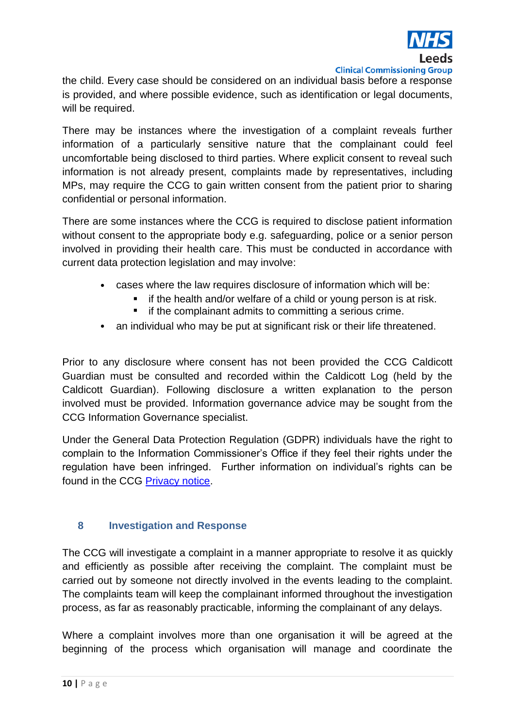

the child. Every case should be considered on an individual basis before a response is provided, and where possible evidence, such as identification or legal documents, will be required.

There may be instances where the investigation of a complaint reveals further information of a particularly sensitive nature that the complainant could feel uncomfortable being disclosed to third parties. Where explicit consent to reveal such information is not already present, complaints made by representatives, including MPs, may require the CCG to gain written consent from the patient prior to sharing confidential or personal information.

There are some instances where the CCG is required to disclose patient information without consent to the appropriate body e.g. safeguarding, police or a senior person involved in providing their health care. This must be conducted in accordance with current data protection legislation and may involve:

- cases where the law requires disclosure of information which will be:
	- if the health and/or welfare of a child or young person is at risk.
	- if the complainant admits to committing a serious crime.
- an individual who may be put at significant risk or their life threatened.

Prior to any disclosure where consent has not been provided the CCG Caldicott Guardian must be consulted and recorded within the Caldicott Log (held by the Caldicott Guardian). Following disclosure a written explanation to the person involved must be provided. Information governance advice may be sought from the CCG Information Governance specialist.

Under the General Data Protection Regulation (GDPR) individuals have the right to complain to the Information Commissioner's Office if they feel their rights under the regulation have been infringed. Further information on individual's rights can be found in the CCG [Privacy notice.](https://www.leedsccg.nhs.uk/about/how-we-use-your-information/)

## <span id="page-9-0"></span>**8 Investigation and Response**

The CCG will investigate a complaint in a manner appropriate to resolve it as quickly and efficiently as possible after receiving the complaint. The complaint must be carried out by someone not directly involved in the events leading to the complaint. The complaints team will keep the complainant informed throughout the investigation process, as far as reasonably practicable, informing the complainant of any delays.

Where a complaint involves more than one organisation it will be agreed at the beginning of the process which organisation will manage and coordinate the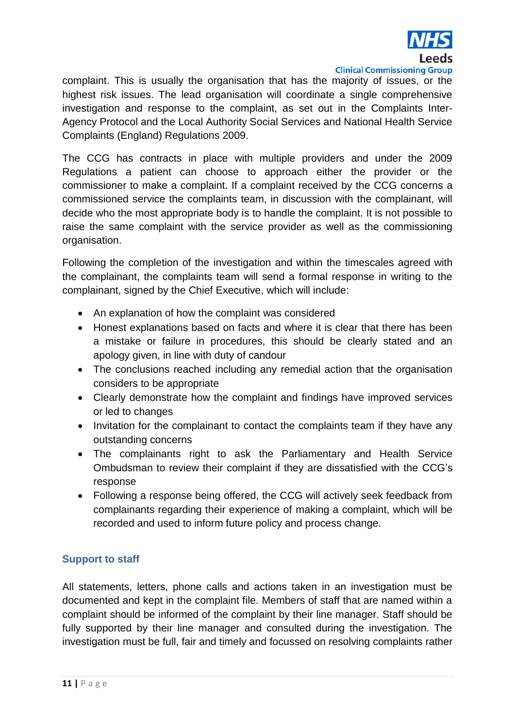

#### **Clinical Commissioning Group**

complaint. This is usually the organisation that has the majority of issues, or the highest risk issues. The lead organisation will coordinate a single comprehensive investigation and response to the complaint, as set out in the Complaints Inter-Agency Protocol and the Local Authority Social Services and National Health Service Complaints (England) Regulations 2009.

The CCG has contracts in place with multiple providers and under the 2009 Regulations a patient can choose to approach either the provider or the commissioner to make a complaint. If a complaint received by the CCG concerns a commissioned service the complaints team, in discussion with the complainant, will decide who the most appropriate body is to handle the complaint. It is not possible to raise the same complaint with the service provider as well as the commissioning organisation.

Following the completion of the investigation and within the timescales agreed with the complainant, the complaints team will send a formal response in writing to the complainant, signed by the Chief Executive, which will include:

- An explanation of how the complaint was considered
- Honest explanations based on facts and where it is clear that there has been a mistake or failure in procedures, this should be clearly stated and an apology given, in line with duty of candour
- The conclusions reached including any remedial action that the organisation considers to be appropriate
- Clearly demonstrate how the complaint and findings have improved services or led to changes
- Invitation for the complainant to contact the complaints team if they have any outstanding concerns
- The complainants right to ask the Parliamentary and Health Service Ombudsman to review their complaint if they are dissatisfied with the CCG's response
- Following a response being offered, the CCG will actively seek feedback from complainants regarding their experience of making a complaint, which will be recorded and used to inform future policy and process change.

## **Support to staff**

All statements, letters, phone calls and actions taken in an investigation must be documented and kept in the complaint file. Members of staff that are named within a complaint should be informed of the complaint by their line manager. Staff should be fully supported by their line manager and consulted during the investigation. The investigation must be full, fair and timely and focussed on resolving complaints rather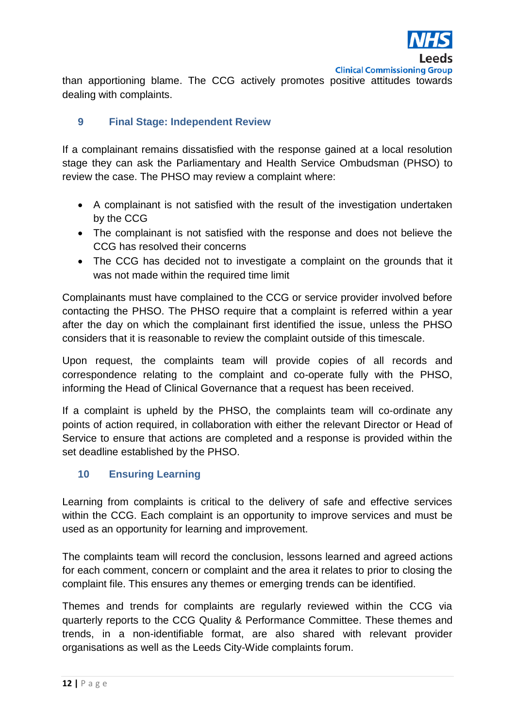

**Clinical Commissioning Group** 

than apportioning blame. The CCG actively promotes positive attitudes towards dealing with complaints.

### <span id="page-11-0"></span>**9 Final Stage: Independent Review**

If a complainant remains dissatisfied with the response gained at a local resolution stage they can ask the Parliamentary and Health Service Ombudsman (PHSO) to review the case. The PHSO may review a complaint where:

- A complainant is not satisfied with the result of the investigation undertaken by the CCG
- The complainant is not satisfied with the response and does not believe the CCG has resolved their concerns
- The CCG has decided not to investigate a complaint on the grounds that it was not made within the required time limit

Complainants must have complained to the CCG or service provider involved before contacting the PHSO. The PHSO require that a complaint is referred within a year after the day on which the complainant first identified the issue, unless the PHSO considers that it is reasonable to review the complaint outside of this timescale.

Upon request, the complaints team will provide copies of all records and correspondence relating to the complaint and co-operate fully with the PHSO, informing the Head of Clinical Governance that a request has been received.

If a complaint is upheld by the PHSO, the complaints team will co-ordinate any points of action required, in collaboration with either the relevant Director or Head of Service to ensure that actions are completed and a response is provided within the set deadline established by the PHSO.

## <span id="page-11-1"></span>**10 Ensuring Learning**

Learning from complaints is critical to the delivery of safe and effective services within the CCG. Each complaint is an opportunity to improve services and must be used as an opportunity for learning and improvement.

The complaints team will record the conclusion, lessons learned and agreed actions for each comment, concern or complaint and the area it relates to prior to closing the complaint file. This ensures any themes or emerging trends can be identified.

Themes and trends for complaints are regularly reviewed within the CCG via quarterly reports to the CCG Quality & Performance Committee. These themes and trends, in a non-identifiable format, are also shared with relevant provider organisations as well as the Leeds City-Wide complaints forum.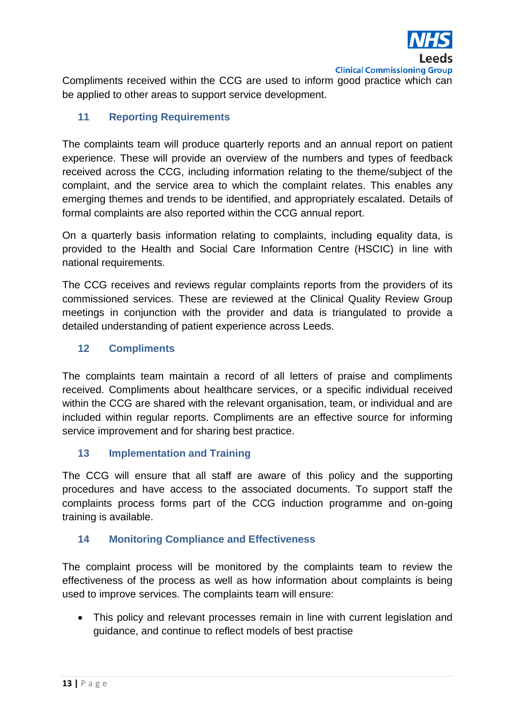

Compliments received within the CCG are used to inform good practice which can be applied to other areas to support service development.

# <span id="page-12-0"></span>**11 Reporting Requirements**

The complaints team will produce quarterly reports and an annual report on patient experience. These will provide an overview of the numbers and types of feedback received across the CCG, including information relating to the theme/subject of the complaint, and the service area to which the complaint relates. This enables any emerging themes and trends to be identified, and appropriately escalated. Details of formal complaints are also reported within the CCG annual report.

On a quarterly basis information relating to complaints, including equality data, is provided to the Health and Social Care Information Centre (HSCIC) in line with national requirements.

The CCG receives and reviews regular complaints reports from the providers of its commissioned services. These are reviewed at the Clinical Quality Review Group meetings in conjunction with the provider and data is triangulated to provide a detailed understanding of patient experience across Leeds.

## <span id="page-12-1"></span>**12 Compliments**

The complaints team maintain a record of all letters of praise and compliments received. Compliments about healthcare services, or a specific individual received within the CCG are shared with the relevant organisation, team, or individual and are included within regular reports. Compliments are an effective source for informing service improvement and for sharing best practice.

## **13 Implementation and Training**

The CCG will ensure that all staff are aware of this policy and the supporting procedures and have access to the associated documents. To support staff the complaints process forms part of the CCG induction programme and on-going training is available.

## <span id="page-12-2"></span>**14 Monitoring Compliance and Effectiveness**

The complaint process will be monitored by the complaints team to review the effectiveness of the process as well as how information about complaints is being used to improve services. The complaints team will ensure:

 This policy and relevant processes remain in line with current legislation and guidance, and continue to reflect models of best practise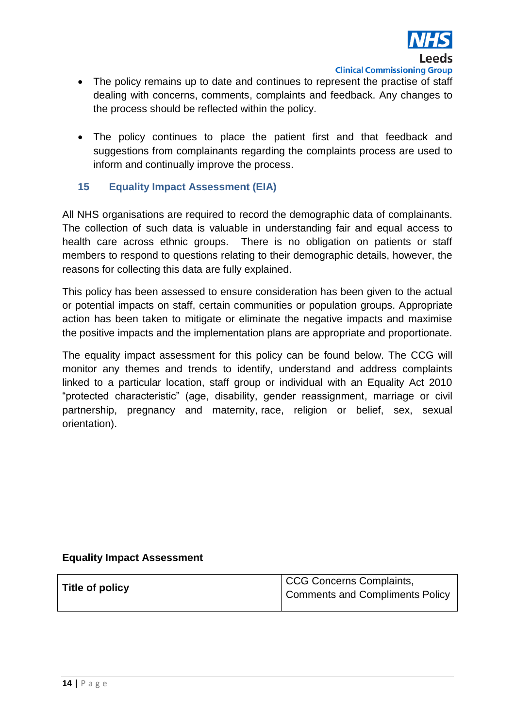

- The policy remains up to date and continues to represent the practise of staff dealing with concerns, comments, complaints and feedback. Any changes to the process should be reflected within the policy.
- The policy continues to place the patient first and that feedback and suggestions from complainants regarding the complaints process are used to inform and continually improve the process.

### <span id="page-13-0"></span>**15 Equality Impact Assessment (EIA)**

All NHS organisations are required to record the demographic data of complainants. The collection of such data is valuable in understanding fair and equal access to health care across ethnic groups. There is no obligation on patients or staff members to respond to questions relating to their demographic details, however, the reasons for collecting this data are fully explained.

This policy has been assessed to ensure consideration has been given to the actual or potential impacts on staff, certain communities or population groups. Appropriate action has been taken to mitigate or eliminate the negative impacts and maximise the positive impacts and the implementation plans are appropriate and proportionate.

The equality impact assessment for this policy can be found below. The CCG will monitor any themes and trends to identify, understand and address complaints linked to a particular location, staff group or individual with an Equality Act 2010 "protected characteristic" (age, disability, gender reassignment, marriage or civil partnership, pregnancy and maternity, race, religion or belief, sex, sexual orientation).

#### **Equality Impact Assessment**

|                 | CCG Concerns Complaints,        |  |
|-----------------|---------------------------------|--|
| Title of policy | Comments and Compliments Policy |  |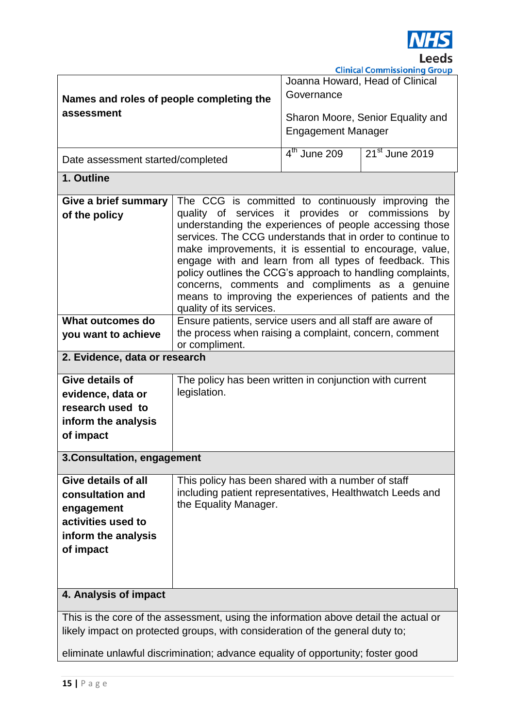

ے<br>مصنفین ا  $\sim 1$ 

|                                                                                      |                                                                                                                   |                                 | <b>Clinical Commissioning Group</b> |  |  |
|--------------------------------------------------------------------------------------|-------------------------------------------------------------------------------------------------------------------|---------------------------------|-------------------------------------|--|--|
|                                                                                      |                                                                                                                   | Joanna Howard, Head of Clinical |                                     |  |  |
| Names and roles of people completing the                                             |                                                                                                                   | Governance                      |                                     |  |  |
| assessment                                                                           |                                                                                                                   |                                 |                                     |  |  |
|                                                                                      |                                                                                                                   |                                 | Sharon Moore, Senior Equality and   |  |  |
|                                                                                      |                                                                                                                   | <b>Engagement Manager</b>       |                                     |  |  |
|                                                                                      |                                                                                                                   | 4 <sup>th</sup> June 209        | $21st$ June 2019                    |  |  |
| Date assessment started/completed                                                    |                                                                                                                   |                                 |                                     |  |  |
| 1. Outline                                                                           |                                                                                                                   |                                 |                                     |  |  |
| Give a brief summary                                                                 | The CCG is committed to continuously improving the                                                                |                                 |                                     |  |  |
| of the policy                                                                        | quality of services it provides or commissions                                                                    |                                 | by                                  |  |  |
|                                                                                      | understanding the experiences of people accessing those                                                           |                                 |                                     |  |  |
|                                                                                      | services. The CCG understands that in order to continue to                                                        |                                 |                                     |  |  |
|                                                                                      | make improvements, it is essential to encourage, value,<br>engage with and learn from all types of feedback. This |                                 |                                     |  |  |
|                                                                                      | policy outlines the CCG's approach to handling complaints,                                                        |                                 |                                     |  |  |
|                                                                                      | concerns, comments and compliments as a genuine                                                                   |                                 |                                     |  |  |
|                                                                                      | means to improving the experiences of patients and the                                                            |                                 |                                     |  |  |
|                                                                                      | quality of its services.                                                                                          |                                 |                                     |  |  |
| What outcomes do                                                                     | Ensure patients, service users and all staff are aware of                                                         |                                 |                                     |  |  |
| you want to achieve                                                                  | the process when raising a complaint, concern, comment                                                            |                                 |                                     |  |  |
| or compliment.                                                                       |                                                                                                                   |                                 |                                     |  |  |
| 2. Evidence, data or research                                                        |                                                                                                                   |                                 |                                     |  |  |
| Give details of                                                                      | The policy has been written in conjunction with current                                                           |                                 |                                     |  |  |
| evidence, data or                                                                    | legislation.                                                                                                      |                                 |                                     |  |  |
| research used to                                                                     |                                                                                                                   |                                 |                                     |  |  |
| inform the analysis                                                                  |                                                                                                                   |                                 |                                     |  |  |
| of impact                                                                            |                                                                                                                   |                                 |                                     |  |  |
| 3. Consultation, engagement                                                          |                                                                                                                   |                                 |                                     |  |  |
| <b>Give details of all</b>                                                           | This policy has been shared with a number of staff                                                                |                                 |                                     |  |  |
| consultation and                                                                     | including patient representatives, Healthwatch Leeds and                                                          |                                 |                                     |  |  |
| engagement                                                                           | the Equality Manager.                                                                                             |                                 |                                     |  |  |
| activities used to                                                                   |                                                                                                                   |                                 |                                     |  |  |
| inform the analysis                                                                  |                                                                                                                   |                                 |                                     |  |  |
| of impact                                                                            |                                                                                                                   |                                 |                                     |  |  |
|                                                                                      |                                                                                                                   |                                 |                                     |  |  |
|                                                                                      |                                                                                                                   |                                 |                                     |  |  |
| 4. Analysis of impact                                                                |                                                                                                                   |                                 |                                     |  |  |
| This is the core of the assessment, using the information above detail the actual or |                                                                                                                   |                                 |                                     |  |  |
|                                                                                      |                                                                                                                   |                                 |                                     |  |  |
| likely impact on protected groups, with consideration of the general duty to;        |                                                                                                                   |                                 |                                     |  |  |

eliminate unlawful discrimination; advance equality of opportunity; foster good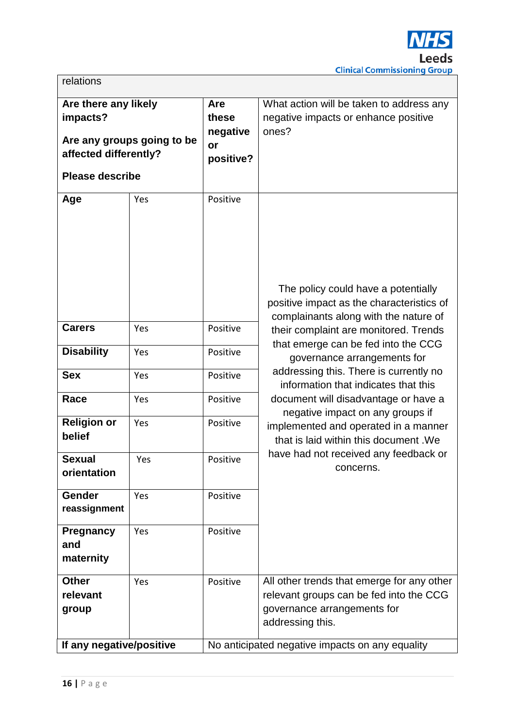

| relations                                                                                                         |     |                                                 |                                                                                                                                          |  |
|-------------------------------------------------------------------------------------------------------------------|-----|-------------------------------------------------|------------------------------------------------------------------------------------------------------------------------------------------|--|
| Are there any likely<br>impacts?<br>Are any groups going to be<br>affected differently?<br><b>Please describe</b> |     | Are<br>these<br>negative<br>or<br>positive?     | What action will be taken to address any<br>negative impacts or enhance positive<br>ones?                                                |  |
| Age                                                                                                               | Yes | Positive                                        | The policy could have a potentially<br>positive impact as the characteristics of<br>complainants along with the nature of                |  |
| <b>Carers</b>                                                                                                     | Yes | Positive                                        | their complaint are monitored. Trends<br>that emerge can be fed into the CCG                                                             |  |
| <b>Disability</b>                                                                                                 | Yes | Positive                                        | governance arrangements for                                                                                                              |  |
| <b>Sex</b>                                                                                                        | Yes | Positive                                        | addressing this. There is currently no<br>information that indicates that this                                                           |  |
| Race                                                                                                              | Yes | Positive                                        | document will disadvantage or have a<br>negative impact on any groups if                                                                 |  |
| <b>Religion or</b><br>belief                                                                                      | Yes | Positive                                        | implemented and operated in a manner<br>that is laid within this document. We                                                            |  |
| <b>Sexual</b><br>orientation                                                                                      | Yes | Positive                                        | have had not received any feedback or<br>concerns.                                                                                       |  |
| Gender<br>reassignment                                                                                            | Yes | Positive                                        |                                                                                                                                          |  |
| <b>Pregnancy</b><br>and<br>maternity                                                                              | Yes | Positive                                        |                                                                                                                                          |  |
| <b>Other</b><br>relevant<br>group                                                                                 | Yes | Positive                                        | All other trends that emerge for any other<br>relevant groups can be fed into the CCG<br>governance arrangements for<br>addressing this. |  |
| If any negative/positive                                                                                          |     | No anticipated negative impacts on any equality |                                                                                                                                          |  |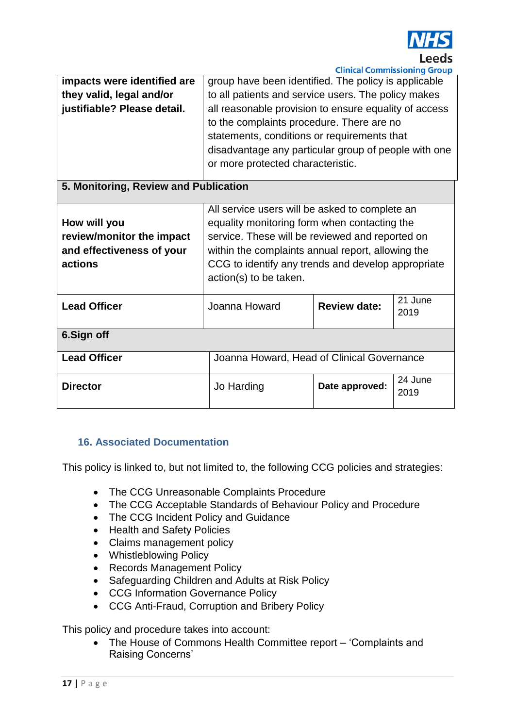

| <b>Clinical Commissioning Group</b> |  |  |
|-------------------------------------|--|--|
|                                     |  |  |

| impacts were identified are<br>they valid, legal and/or<br>justifiable? Please detail. | group have been identified. The policy is applicable<br>to all patients and service users. The policy makes<br>all reasonable provision to ensure equality of access<br>to the complaints procedure. There are no<br>statements, conditions or requirements that<br>disadvantage any particular group of people with one<br>or more protected characteristic. |                     |                 |  |
|----------------------------------------------------------------------------------------|---------------------------------------------------------------------------------------------------------------------------------------------------------------------------------------------------------------------------------------------------------------------------------------------------------------------------------------------------------------|---------------------|-----------------|--|
| 5. Monitoring, Review and Publication                                                  |                                                                                                                                                                                                                                                                                                                                                               |                     |                 |  |
| How will you<br>review/monitor the impact<br>and effectiveness of your<br>actions      | All service users will be asked to complete an<br>equality monitoring form when contacting the<br>service. These will be reviewed and reported on<br>within the complaints annual report, allowing the<br>CCG to identify any trends and develop appropriate<br>action(s) to be taken.                                                                        |                     |                 |  |
| <b>Lead Officer</b>                                                                    | Joanna Howard                                                                                                                                                                                                                                                                                                                                                 | <b>Review date:</b> | 21 June<br>2019 |  |
| 6.Sign off                                                                             |                                                                                                                                                                                                                                                                                                                                                               |                     |                 |  |
| <b>Lead Officer</b>                                                                    | Joanna Howard, Head of Clinical Governance                                                                                                                                                                                                                                                                                                                    |                     |                 |  |
| <b>Director</b>                                                                        | Jo Harding                                                                                                                                                                                                                                                                                                                                                    | Date approved:      | 24 June<br>2019 |  |

#### <span id="page-16-0"></span>**16. Associated Documentation**

This policy is linked to, but not limited to, the following CCG policies and strategies:

- The CCG Unreasonable Complaints Procedure
- The CCG Acceptable Standards of Behaviour Policy and Procedure
- The CCG Incident Policy and Guidance
- Health and Safety Policies
- Claims management policy
- Whistleblowing Policy
- Records Management Policy
- Safeguarding Children and Adults at Risk Policy
- CCG Information Governance Policy
- CCG Anti-Fraud, Corruption and Bribery Policy

This policy and procedure takes into account:

 The House of Commons Health Committee report – 'Complaints and Raising Concerns'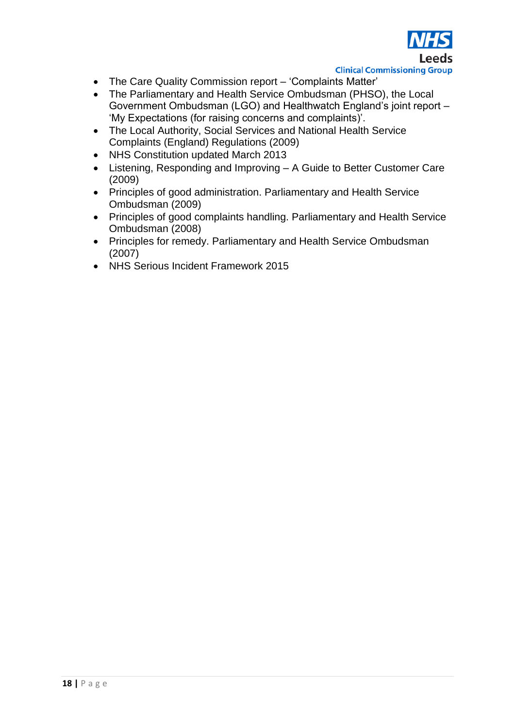

- The Care Quality Commission report 'Complaints Matter'
- The Parliamentary and Health Service Ombudsman (PHSO), the Local Government Ombudsman (LGO) and Healthwatch England's joint report – 'My Expectations (for raising concerns and complaints)'.
- The Local Authority, Social Services and National Health Service Complaints (England) Regulations (2009)
- NHS Constitution updated March 2013
- Listening, Responding and Improving A Guide to Better Customer Care (2009)
- Principles of good administration. Parliamentary and Health Service Ombudsman (2009)
- Principles of good complaints handling. Parliamentary and Health Service Ombudsman (2008)
- Principles for remedy. Parliamentary and Health Service Ombudsman (2007)
- NHS Serious Incident Framework 2015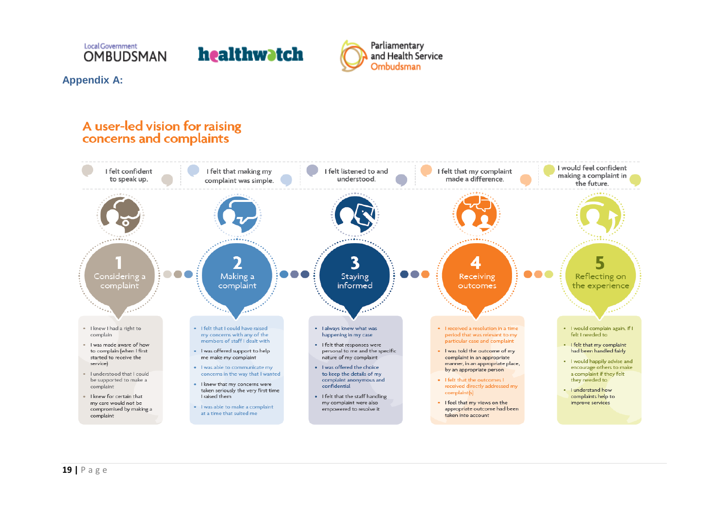

**Appendix A:** 

# A user-led vision for raising concerns and complaints

<span id="page-18-0"></span>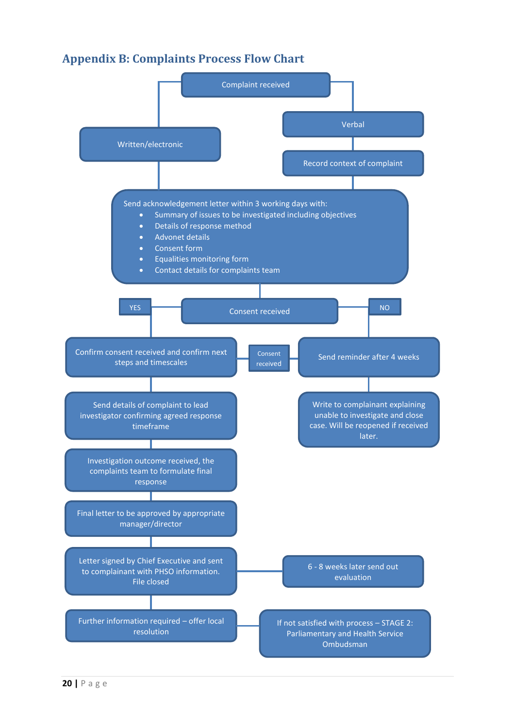# <span id="page-19-0"></span>**Appendix B: Complaints Process Flow Chart**

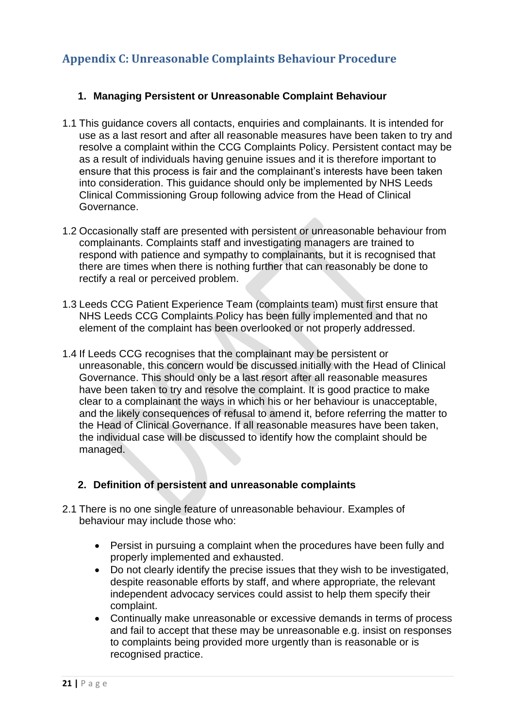### **1. Managing Persistent or Unreasonable Complaint Behaviour**

- 1.1 This guidance covers all contacts, enquiries and complainants. It is intended for use as a last resort and after all reasonable measures have been taken to try and resolve a complaint within the CCG Complaints Policy. Persistent contact may be as a result of individuals having genuine issues and it is therefore important to ensure that this process is fair and the complainant's interests have been taken into consideration. This guidance should only be implemented by NHS Leeds Clinical Commissioning Group following advice from the Head of Clinical Governance.
- 1.2 Occasionally staff are presented with persistent or unreasonable behaviour from complainants. Complaints staff and investigating managers are trained to respond with patience and sympathy to complainants, but it is recognised that there are times when there is nothing further that can reasonably be done to rectify a real or perceived problem.
- 1.3 Leeds CCG Patient Experience Team (complaints team) must first ensure that NHS Leeds CCG Complaints Policy has been fully implemented and that no element of the complaint has been overlooked or not properly addressed.
- 1.4 If Leeds CCG recognises that the complainant may be persistent or unreasonable, this concern would be discussed initially with the Head of Clinical Governance. This should only be a last resort after all reasonable measures have been taken to try and resolve the complaint. It is good practice to make clear to a complainant the ways in which his or her behaviour is unacceptable, and the likely consequences of refusal to amend it, before referring the matter to the Head of Clinical Governance. If all reasonable measures have been taken, the individual case will be discussed to identify how the complaint should be managed.

## **2. Definition of persistent and unreasonable complaints**

- 2.1 There is no one single feature of unreasonable behaviour. Examples of behaviour may include those who:
	- Persist in pursuing a complaint when the procedures have been fully and properly implemented and exhausted.
	- Do not clearly identify the precise issues that they wish to be investigated, despite reasonable efforts by staff, and where appropriate, the relevant independent advocacy services could assist to help them specify their complaint.
	- Continually make unreasonable or excessive demands in terms of process and fail to accept that these may be unreasonable e.g. insist on responses to complaints being provided more urgently than is reasonable or is recognised practice.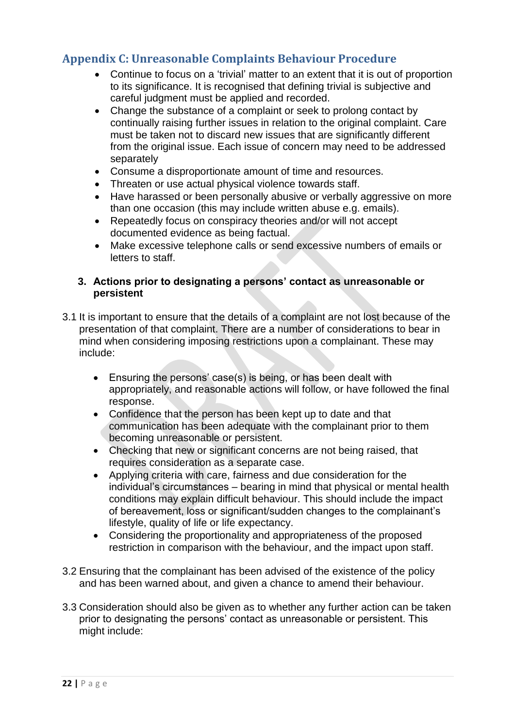- Continue to focus on a 'trivial' matter to an extent that it is out of proportion to its significance. It is recognised that defining trivial is subjective and careful judgment must be applied and recorded.
- Change the substance of a complaint or seek to prolong contact by continually raising further issues in relation to the original complaint. Care must be taken not to discard new issues that are significantly different from the original issue. Each issue of concern may need to be addressed separately
- Consume a disproportionate amount of time and resources.
- Threaten or use actual physical violence towards staff.
- Have harassed or been personally abusive or verbally aggressive on more than one occasion (this may include written abuse e.g. emails).
- Repeatedly focus on conspiracy theories and/or will not accept documented evidence as being factual.
- Make excessive telephone calls or send excessive numbers of emails or letters to staff.

#### **3. Actions prior to designating a persons' contact as unreasonable or persistent**

- 3.1 It is important to ensure that the details of a complaint are not lost because of the presentation of that complaint. There are a number of considerations to bear in mind when considering imposing restrictions upon a complainant. These may include:
	- Ensuring the persons' case(s) is being, or has been dealt with appropriately, and reasonable actions will follow, or have followed the final response.
	- Confidence that the person has been kept up to date and that communication has been adequate with the complainant prior to them becoming unreasonable or persistent.
	- Checking that new or significant concerns are not being raised, that requires consideration as a separate case.
	- Applying criteria with care, fairness and due consideration for the individual's circumstances – bearing in mind that physical or mental health conditions may explain difficult behaviour. This should include the impact of bereavement, loss or significant/sudden changes to the complainant's lifestyle, quality of life or life expectancy.
	- Considering the proportionality and appropriateness of the proposed restriction in comparison with the behaviour, and the impact upon staff.
- 3.2 Ensuring that the complainant has been advised of the existence of the policy and has been warned about, and given a chance to amend their behaviour.
- 3.3 Consideration should also be given as to whether any further action can be taken prior to designating the persons' contact as unreasonable or persistent. This might include: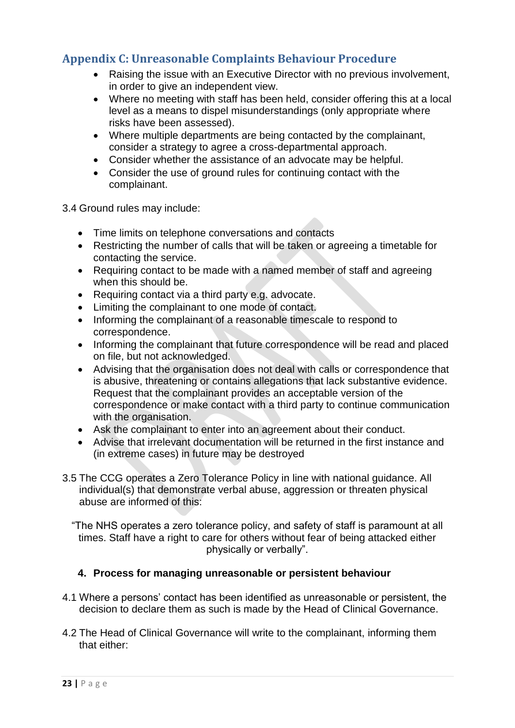- Raising the issue with an Executive Director with no previous involvement, in order to give an independent view.
- Where no meeting with staff has been held, consider offering this at a local level as a means to dispel misunderstandings (only appropriate where risks have been assessed).
- Where multiple departments are being contacted by the complainant, consider a strategy to agree a cross-departmental approach.
- Consider whether the assistance of an advocate may be helpful.
- Consider the use of ground rules for continuing contact with the complainant.

3.4 Ground rules may include:

- Time limits on telephone conversations and contacts
- Restricting the number of calls that will be taken or agreeing a timetable for contacting the service.
- Requiring contact to be made with a named member of staff and agreeing when this should be.
- Requiring contact via a third party e.g. advocate.
- Limiting the complainant to one mode of contact.
- Informing the complainant of a reasonable timescale to respond to correspondence.
- Informing the complainant that future correspondence will be read and placed on file, but not acknowledged.
- Advising that the organisation does not deal with calls or correspondence that is abusive, threatening or contains allegations that lack substantive evidence. Request that the complainant provides an acceptable version of the correspondence or make contact with a third party to continue communication with the organisation.
- Ask the complainant to enter into an agreement about their conduct.
- Advise that irrelevant documentation will be returned in the first instance and (in extreme cases) in future may be destroyed
- 3.5 The CCG operates a Zero Tolerance Policy in line with national guidance. All individual(s) that demonstrate verbal abuse, aggression or threaten physical abuse are informed of this:

"The NHS operates a zero tolerance policy, and safety of staff is paramount at all times. Staff have a right to care for others without fear of being attacked either physically or verbally".

## **4. Process for managing unreasonable or persistent behaviour**

- 4.1 Where a persons' contact has been identified as unreasonable or persistent, the decision to declare them as such is made by the Head of Clinical Governance.
- 4.2 The Head of Clinical Governance will write to the complainant, informing them that either: